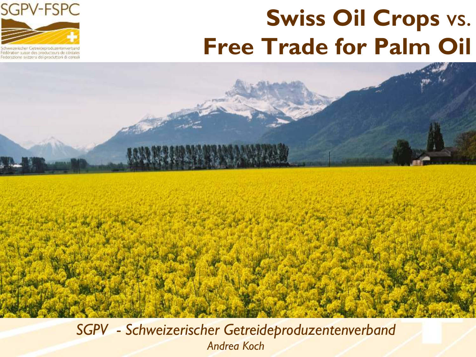



Iwegenscher Getreideproduzentenverbant édération suisse des producteurs de céréales Federazione svizzera dei produttori di cereali

#### *SGPV - Schweizerischer Getreideproduzentenverband Andrea Koch*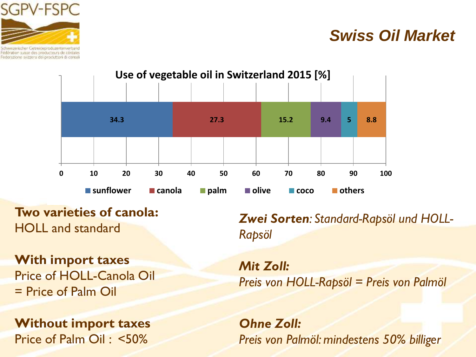

ederazione svizzera dei produttori di cereal

### *Swiss Oil Market*



**Two varieties of canola:**  HOLL and standard

**With import taxes** Price of HOLL-Canola Oil = Price of Palm Oil

**Without import taxes** Price of Palm Oil : <50%

*Zwei Sorten: Standard-Rapsöl und HOLL-Rapsöl*

*Mit Zoll: Preis von HOLL-Rapsöl = Preis von Palmöl*

*Ohne Zoll: Preis von Palmöl: mindestens 50% billiger*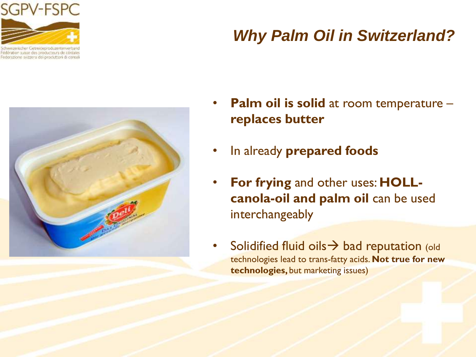

édération suisse des producteurs de céréales Federazione svizzera dei produttori di cereali

### *Why Palm Oil in Switzerland?*



- **Palm oil is solid** at room temperature **replaces butter**
- In already **prepared foods**
- **For frying** and other uses: **HOLLcanola-oil and palm oil** can be used interchangeably
- Solidified fluid oils  $\rightarrow$  bad reputation (old technologies lead to trans-fatty acids. **Not true for new technologies,** but marketing issues)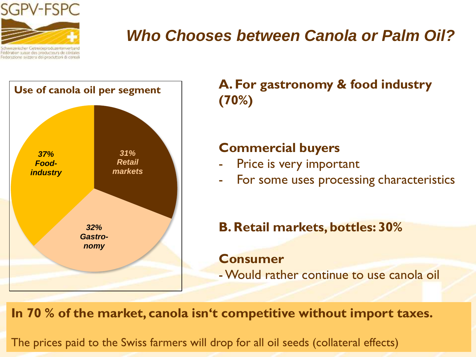

derazione svizzera dei produttori di cereali

## *Who Chooses between Canola or Palm Oil?*



**A. For gastronomy & food industry (70%)**

#### **Commercial buyers**

- Price is very important
- For some uses processing characteristics
- **B. Retail markets, bottles: 30%**

**Consumer** -Would rather continue to use canola oil

**In 70 % of the market, canola isn't competitive without import taxes.**

The prices paid to the Swiss farmers will drop for all oil seeds (collateral effects)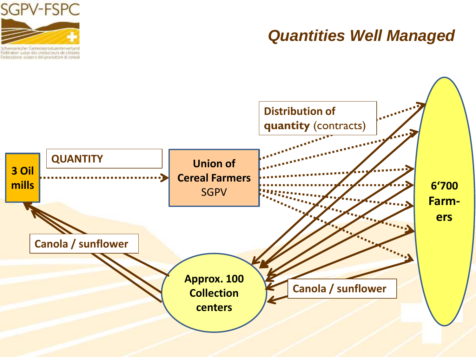

Fédération suisse des producteurs de céréales Federazione svizzera dei produttori di cereali

### *Quantities Well Managed*

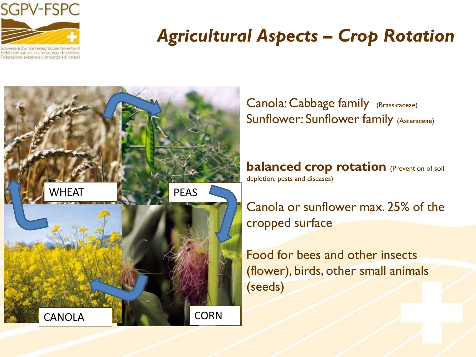

Federazione svizzera dei procuttori di cereali

## *Agricultural Aspects – Crop Rotation*



Canola: Cabbage family (Brassicaceae) Sunflower: Sunflower family (Asteraceae)

**balanced crop rotation** (Prevention of soil depletion, pests and diseases)

Canola or sunflower max. 25% of the cropped surface

Food for bees and other insects (flower), birds, other small animals (seeds)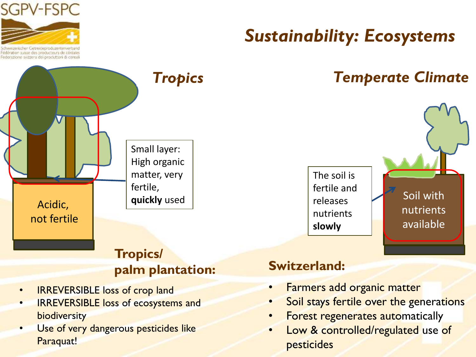

Edération suisse des producteurs de céréales ederazione svizzera dei produttori di cereali

## *Sustainability: Ecosystems*

### *Tropics Temperate Climate*



# Acidic, not fertile Small layer: High organic matter, very fertile,

#### **Tropics/ palm plantation:**

- IRREVERSIBLE loss of crop land
- **IRREVERSIBLE loss of ecosystems and** biodiversity
- Use of very dangerous pesticides like Paraquat!

#### **Switzerland:**

• Farmers add organic matter

The soil is fertile and

releases nutrients

**slowly**

- Soil stays fertile over the generations
- **Forest regenerates automatically**
- Low & controlled/regulated use of pesticides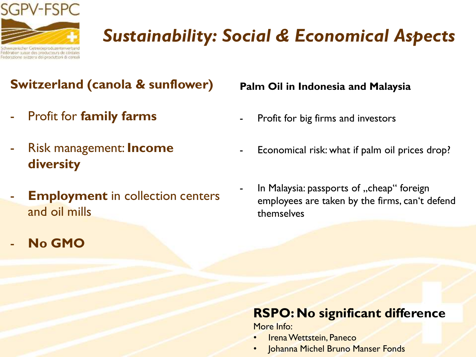

## *Sustainability: Social & Economical Aspects*

#### **Switzerland (canola & sunflower)**

- Profit for **family farms**
- Risk management: **Income diversity**
- **Employment** in collection centers and oil mills
- **No GMO**

#### **Palm Oil in Indonesia and Malaysia**

- Profit for big firms and investors
- Economical risk: what if palm oil prices drop?
- In Malaysia: passports of "cheap" foreign employees are taken by the firms, can't defend themselves

#### **RSPO: No significant difference**

More Info:

- Irena Wettstein, Paneco
- Johanna Michel Bruno Manser Fonds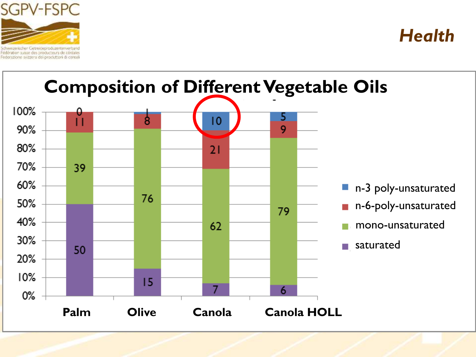